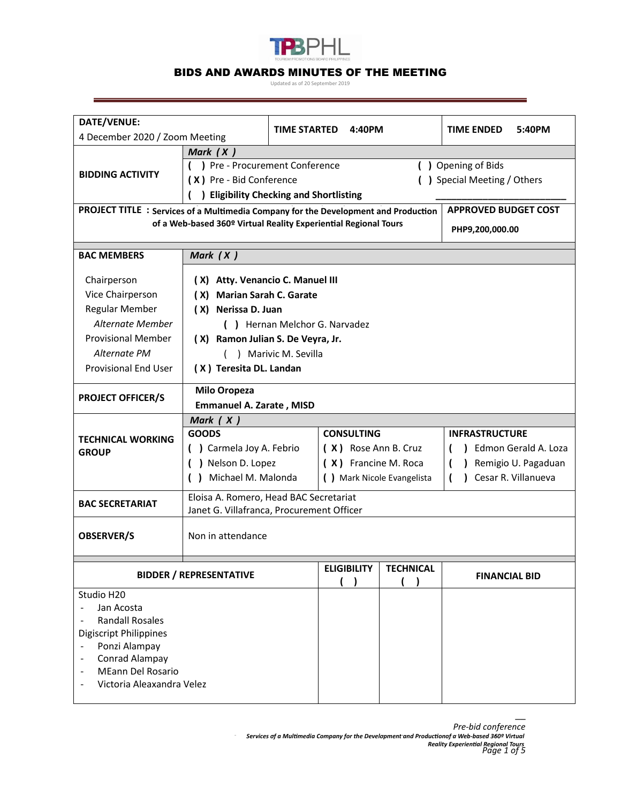

## BIDS AND AWARDS MINUTES OF THE MEETING

Updated as of 20 September 2019

| DATE/VENUE:                                                                                                        |                                                                                     |              |                             |                  |                       |                      |  |
|--------------------------------------------------------------------------------------------------------------------|-------------------------------------------------------------------------------------|--------------|-----------------------------|------------------|-----------------------|----------------------|--|
| 4 December 2020 / Zoom Meeting                                                                                     |                                                                                     | TIME STARTED | 4:40PM                      |                  | <b>TIME ENDED</b>     | 5:40PM               |  |
| Mark $(X)$                                                                                                         |                                                                                     |              |                             |                  |                       |                      |  |
| <b>BIDDING ACTIVITY</b>                                                                                            | ) Pre - Procurement Conference<br>() Opening of Bids                                |              |                             |                  |                       |                      |  |
|                                                                                                                    | (X) Pre - Bid Conference<br>( ) Special Meeting / Others                            |              |                             |                  |                       |                      |  |
|                                                                                                                    | <b>Eligibility Checking and Shortlisting</b>                                        |              |                             |                  |                       |                      |  |
| <b>APPROVED BUDGET COST</b><br>PROJECT TITLE : Services of a Multimedia Company for the Development and Production |                                                                                     |              |                             |                  |                       |                      |  |
|                                                                                                                    | of a Web-based 360º Virtual Reality Experiential Regional Tours                     |              | PHP9,200,000.00             |                  |                       |                      |  |
|                                                                                                                    |                                                                                     |              |                             |                  |                       |                      |  |
| <b>BAC MEMBERS</b>                                                                                                 | Mark $(X)$                                                                          |              |                             |                  |                       |                      |  |
| Chairperson                                                                                                        | (X) Atty. Venancio C. Manuel III                                                    |              |                             |                  |                       |                      |  |
| Vice Chairperson                                                                                                   | (X) Marian Sarah C. Garate                                                          |              |                             |                  |                       |                      |  |
| <b>Regular Member</b>                                                                                              | (X) Nerissa D. Juan                                                                 |              |                             |                  |                       |                      |  |
| Alternate Member                                                                                                   | () Hernan Melchor G. Narvadez                                                       |              |                             |                  |                       |                      |  |
| <b>Provisional Member</b>                                                                                          | (X) Ramon Julian S. De Veyra, Jr.                                                   |              |                             |                  |                       |                      |  |
| Alternate PM                                                                                                       | ) Marivic M. Sevilla                                                                |              |                             |                  |                       |                      |  |
| <b>Provisional End User</b>                                                                                        | (X) Teresita DL. Landan                                                             |              |                             |                  |                       |                      |  |
|                                                                                                                    |                                                                                     |              |                             |                  |                       |                      |  |
| <b>PROJECT OFFICER/S</b>                                                                                           | <b>Milo Oropeza</b>                                                                 |              |                             |                  |                       |                      |  |
|                                                                                                                    | <b>Emmanuel A. Zarate, MISD</b>                                                     |              |                             |                  |                       |                      |  |
| <b>TECHNICAL WORKING</b><br><b>GROUP</b>                                                                           | Mark $(X)$                                                                          |              |                             |                  |                       |                      |  |
|                                                                                                                    | <b>GOODS</b>                                                                        |              | <b>CONSULTING</b>           |                  | <b>INFRASTRUCTURE</b> |                      |  |
|                                                                                                                    | () Carmela Joy A. Febrio                                                            |              | (X) Rose Ann B. Cruz        |                  |                       | Edmon Gerald A. Loza |  |
|                                                                                                                    | ) Nelson D. Lopez                                                                   |              | (X) Francine M. Roca        |                  |                       | Remigio U. Pagaduan  |  |
|                                                                                                                    | Michael M. Malonda                                                                  |              | ( ) Mark Nicole Evangelista |                  | $\mathbf{I}$          | Cesar R. Villanueva  |  |
| <b>BAC SECRETARIAT</b>                                                                                             | Eloisa A. Romero, Head BAC Secretariat<br>Janet G. Villafranca, Procurement Officer |              |                             |                  |                       |                      |  |
|                                                                                                                    |                                                                                     |              |                             |                  |                       |                      |  |
|                                                                                                                    |                                                                                     |              |                             |                  |                       |                      |  |
|                                                                                                                    | <b>OBSERVER/S</b><br>Non in attendance                                              |              |                             |                  |                       |                      |  |
|                                                                                                                    |                                                                                     |              | <b>ELIGIBILITY</b>          | <b>TECHNICAL</b> |                       |                      |  |
| <b>BIDDER / REPRESENTATIVE</b>                                                                                     |                                                                                     |              |                             |                  | <b>FINANCIAL BID</b>  |                      |  |
| Studio H20                                                                                                         |                                                                                     |              |                             |                  |                       |                      |  |
| Jan Acosta                                                                                                         |                                                                                     |              |                             |                  |                       |                      |  |
| <b>Randall Rosales</b>                                                                                             |                                                                                     |              |                             |                  |                       |                      |  |
| <b>Digiscript Philippines</b>                                                                                      |                                                                                     |              |                             |                  |                       |                      |  |
| Ponzi Alampay<br>Conrad Alampay                                                                                    |                                                                                     |              |                             |                  |                       |                      |  |
| <b>MEann Del Rosario</b>                                                                                           |                                                                                     |              |                             |                  |                       |                      |  |
| Victoria Aleaxandra Velez                                                                                          |                                                                                     |              |                             |                  |                       |                      |  |
|                                                                                                                    |                                                                                     |              |                             |                  |                       |                      |  |

\_\_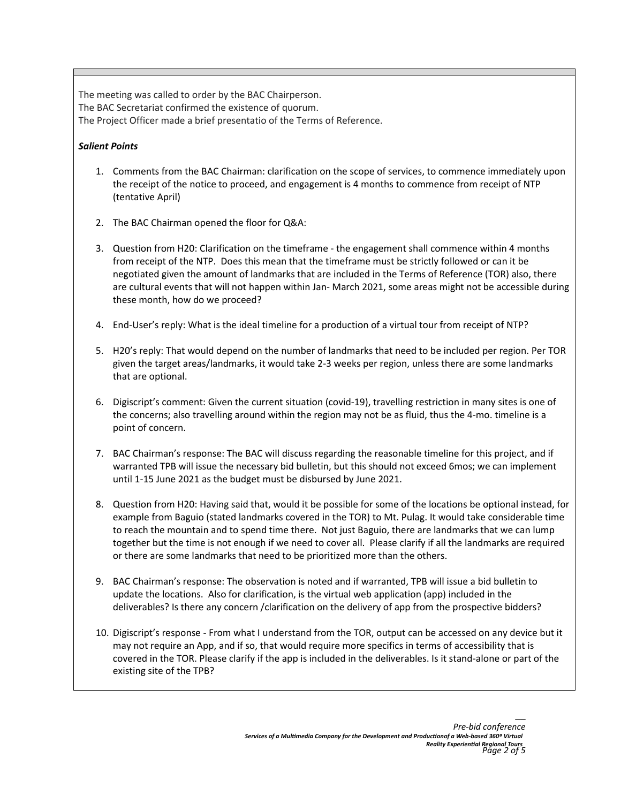The meeting was called to order by the BAC Chairperson. The BAC Secretariat confirmed the existence of quorum. The Project Officer made a brief presentatio of the Terms of Reference.

## *Salient Points*

- 1. Comments from the BAC Chairman: clarification on the scope of services, to commence immediately upon the receipt of the notice to proceed, and engagement is 4 months to commence from receipt of NTP (tentative April)
- 2. The BAC Chairman opened the floor for Q&A:
- 3. Question from H20: Clarification on the timeframe the engagement shall commence within 4 months from receipt of the NTP. Does this mean that the timeframe must be strictly followed or can it be negotiated given the amount of landmarks that are included in the Terms of Reference (TOR) also, there are cultural events that will not happen within Jan- March 2021, some areas might not be accessible during these month, how do we proceed?
- 4. End-User's reply: What is the ideal timeline for a production of a virtual tour from receipt of NTP?
- 5. H20's reply: That would depend on the number of landmarks that need to be included per region. Per TOR given the target areas/landmarks, it would take 2-3 weeks per region, unless there are some landmarks that are optional.
- 6. Digiscript's comment: Given the current situation (covid-19), travelling restriction in many sites is one of the concerns; also travelling around within the region may not be as fluid, thus the 4-mo. timeline is a point of concern.
- 7. BAC Chairman's response: The BAC will discuss regarding the reasonable timeline for this project, and if warranted TPB will issue the necessary bid bulletin, but this should not exceed 6mos; we can implement until 1-15 June 2021 as the budget must be disbursed by June 2021.
- 8. Question from H20: Having said that, would it be possible for some of the locations be optional instead, for example from Baguio (stated landmarks covered in the TOR) to Mt. Pulag. It would take considerable time to reach the mountain and to spend time there. Not just Baguio, there are landmarks that we can lump together but the time is not enough if we need to cover all. Please clarify if all the landmarks are required or there are some landmarks that need to be prioritized more than the others.
- 9. BAC Chairman's response: The observation is noted and if warranted, TPB will issue a bid bulletin to update the locations. Also for clarification, is the virtual web application (app) included in the deliverables? Is there any concern /clarification on the delivery of app from the prospective bidders?
- 10. Digiscript's response From what I understand from the TOR, output can be accessed on any device but it may not require an App, and if so, that would require more specifics in terms of accessibility that is covered in the TOR. Please clarify if the app is included in the deliverables. Is it stand-alone or part of the existing site of the TPB?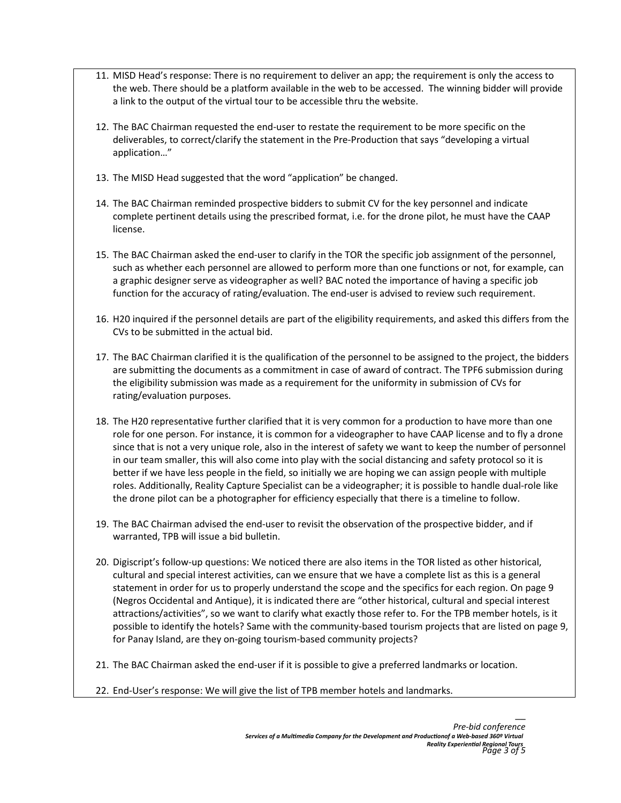- 11. MISD Head's response: There is no requirement to deliver an app; the requirement is only the access to the web. There should be a platform available in the web to be accessed. The winning bidder will provide a link to the output of the virtual tour to be accessible thru the website.
- 12. The BAC Chairman requested the end-user to restate the requirement to be more specific on the deliverables, to correct/clarify the statement in the Pre-Production that says "developing a virtual application…"
- 13. The MISD Head suggested that the word "application" be changed.
- 14. The BAC Chairman reminded prospective bidders to submit CV for the key personnel and indicate complete pertinent details using the prescribed format, i.e. for the drone pilot, he must have the CAAP license.
- 15. The BAC Chairman asked the end-user to clarify in the TOR the specific job assignment of the personnel, such as whether each personnel are allowed to perform more than one functions or not, for example, can a graphic designer serve as videographer as well? BAC noted the importance of having a specific job function for the accuracy of rating/evaluation. The end-user is advised to review such requirement.
- 16. H20 inquired if the personnel details are part of the eligibility requirements, and asked this differs from the CVs to be submitted in the actual bid.
- 17. The BAC Chairman clarified it is the qualification of the personnel to be assigned to the project, the bidders are submitting the documents as a commitment in case of award of contract. The TPF6 submission during the eligibility submission was made as a requirement for the uniformity in submission of CVs for rating/evaluation purposes.
- 18. The H20 representative further clarified that it is very common for a production to have more than one role for one person. For instance, it is common for a videographer to have CAAP license and to fly a drone since that is not a very unique role, also in the interest of safety we want to keep the number of personnel in our team smaller, this will also come into play with the social distancing and safety protocol so it is better if we have less people in the field, so initially we are hoping we can assign people with multiple roles. Additionally, Reality Capture Specialist can be a videographer; it is possible to handle dual-role like the drone pilot can be a photographer for efficiency especially that there is a timeline to follow.
- 19. The BAC Chairman advised the end-user to revisit the observation of the prospective bidder, and if warranted, TPB will issue a bid bulletin.
- 20. Digiscript's follow-up questions: We noticed there are also items in the TOR listed as other historical, cultural and special interest activities, can we ensure that we have a complete list as this is a general statement in order for us to properly understand the scope and the specifics for each region. On page 9 (Negros Occidental and Antique), it is indicated there are "other historical, cultural and special interest attractions/activities", so we want to clarify what exactly those refer to. For the TPB member hotels, is it possible to identify the hotels? Same with the community-based tourism projects that are listed on page 9, for Panay Island, are they on-going tourism-based community projects?
- 21. The BAC Chairman asked the end-user if it is possible to give a preferred landmarks or location.
- 22. End-User's response: We will give the list of TPB member hotels and landmarks.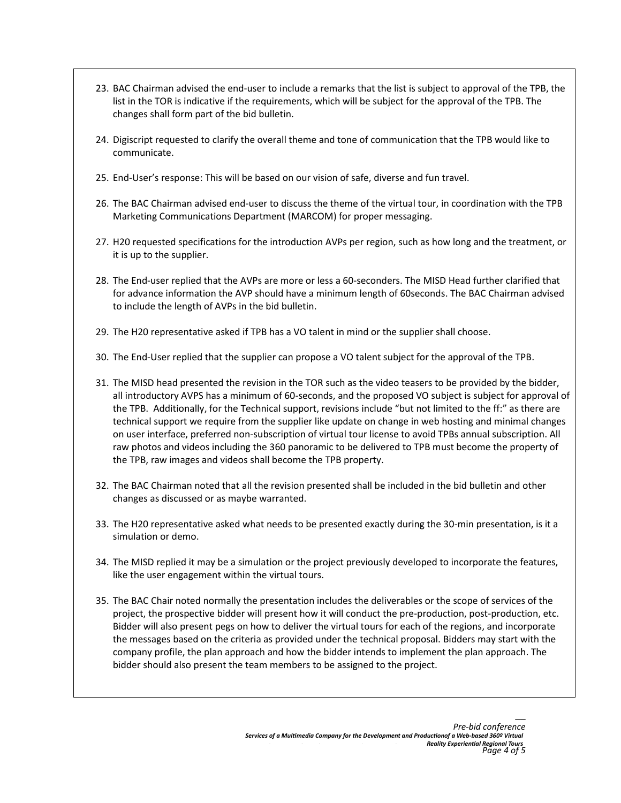- 23. BAC Chairman advised the end-user to include a remarks that the list is subject to approval of the TPB, the list in the TOR is indicative if the requirements, which will be subject for the approval of the TPB. The changes shall form part of the bid bulletin.
- 24. Digiscript requested to clarify the overall theme and tone of communication that the TPB would like to communicate.
- 25. End-User's response: This will be based on our vision of safe, diverse and fun travel.
- 26. The BAC Chairman advised end-user to discuss the theme of the virtual tour, in coordination with the TPB Marketing Communications Department (MARCOM) for proper messaging.
- 27. H20 requested specifications for the introduction AVPs per region, such as how long and the treatment, or it is up to the supplier.
- 28. The End-user replied that the AVPs are more or less a 60-seconders. The MISD Head further clarified that for advance information the AVP should have a minimum length of 60seconds. The BAC Chairman advised to include the length of AVPs in the bid bulletin.
- 29. The H20 representative asked if TPB has a VO talent in mind or the supplier shall choose.
- 30. The End-User replied that the supplier can propose a VO talent subject for the approval of the TPB.
- 31. The MISD head presented the revision in the TOR such as the video teasers to be provided by the bidder, all introductory AVPS has a minimum of 60-seconds, and the proposed VO subject is subject for approval of the TPB. Additionally, for the Technical support, revisions include "but not limited to the ff:" as there are technical support we require from the supplier like update on change in web hosting and minimal changes on user interface, preferred non-subscription of virtual tour license to avoid TPBs annual subscription. All raw photos and videos including the 360 panoramic to be delivered to TPB must become the property of the TPB, raw images and videos shall become the TPB property.
- 32. The BAC Chairman noted that all the revision presented shall be included in the bid bulletin and other changes as discussed or as maybe warranted.
- 33. The H20 representative asked what needs to be presented exactly during the 30-min presentation, is it a simulation or demo.
- 34. The MISD replied it may be a simulation or the project previously developed to incorporate the features, like the user engagement within the virtual tours.
- 35. The BAC Chair noted normally the presentation includes the deliverables or the scope of services of the project, the prospective bidder will present how it will conduct the pre-production, post-production, etc. Bidder will also present pegs on how to deliver the virtual tours for each of the regions, and incorporate the messages based on the criteria as provided under the technical proposal. Bidders may start with the company profile, the plan approach and how the bidder intends to implement the plan approach. The bidder should also present the team members to be assigned to the project.